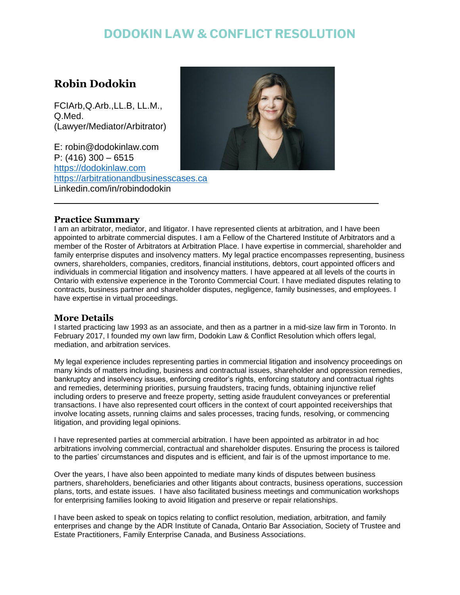## **DODOKIN LAW & CONFLICT RESOLUTION**

### **Robin Dodokin**

FCIArb,Q.Arb.,LL.B, LL.M., Q.Med. (Lawyer/Mediator/Arbitrator)

E: robin@dodokinlaw.com P: (416) 300 – 6515 [https://dodokinlaw.com](https://dodokinlaw.com/) [https://arbitrationandbusinesscases.ca](https://arbitrationandbusinesscases.ca/) Linkedin.com/in/robindodokin



### **Practice Summary**

I am an arbitrator, mediator, and litigator. I have represented clients at arbitration, and I have been appointed to arbitrate commercial disputes. I am a Fellow of the Chartered Institute of Arbitrators and a member of the Roster of Arbitrators at Arbitration Place. I have expertise in commercial, shareholder and family enterprise disputes and insolvency matters. My legal practice encompasses representing, business owners, shareholders, companies, creditors, financial institutions, debtors, court appointed officers and individuals in commercial litigation and insolvency matters. I have appeared at all levels of the courts in Ontario with extensive experience in the Toronto Commercial Court. I have mediated disputes relating to contracts, business partner and shareholder disputes, negligence, family businesses, and employees. I have expertise in virtual proceedings.

### **More Details**

I started practicing law 1993 as an associate, and then as a partner in a mid-size law firm in Toronto. In February 2017, I founded my own law firm, Dodokin Law & Conflict Resolution which offers legal, mediation, and arbitration services.

My legal experience includes representing parties in commercial litigation and insolvency proceedings on many kinds of matters including, business and contractual issues, shareholder and oppression remedies, bankruptcy and insolvency issues, enforcing creditor's rights, enforcing statutory and contractual rights and remedies, determining priorities, pursuing fraudsters, tracing funds, obtaining injunctive relief including orders to preserve and freeze property, setting aside fraudulent conveyances or preferential transactions. I have also represented court officers in the context of court appointed receiverships that involve locating assets, running claims and sales processes, tracing funds, resolving, or commencing litigation, and providing legal opinions.

I have represented parties at commercial arbitration. I have been appointed as arbitrator in ad hoc arbitrations involving commercial, contractual and shareholder disputes. Ensuring the process is tailored to the parties' circumstances and disputes and is efficient, and fair is of the upmost importance to me.

Over the years, I have also been appointed to mediate many kinds of disputes between business partners, shareholders, beneficiaries and other litigants about contracts, business operations, succession plans, torts, and estate issues. I have also facilitated business meetings and communication workshops for enterprising families looking to avoid litigation and preserve or repair relationships.

I have been asked to speak on topics relating to conflict resolution, mediation, arbitration, and family enterprises and change by the ADR Institute of Canada, Ontario Bar Association, Society of Trustee and Estate Practitioners, Family Enterprise Canada, and Business Associations.